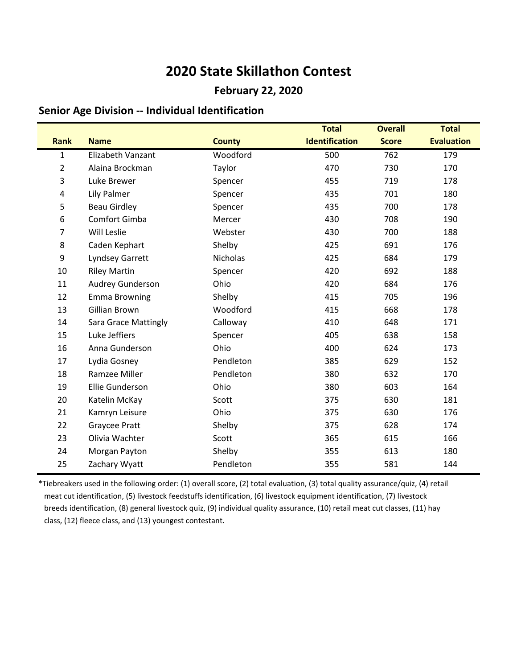### **February 22, 2020**

### **Senior Age Division -- Individual Identification**

|                |                             |                 | <b>Total</b>          | <b>Overall</b> | <b>Total</b>      |
|----------------|-----------------------------|-----------------|-----------------------|----------------|-------------------|
| <b>Rank</b>    | <b>Name</b>                 | <b>County</b>   | <b>Identification</b> | <b>Score</b>   | <b>Evaluation</b> |
| $\mathbf{1}$   | Elizabeth Vanzant           | Woodford        | 500                   | 762            | 179               |
| $\overline{2}$ | Alaina Brockman             | Taylor          | 470                   | 730            | 170               |
| $\mathsf 3$    | Luke Brewer                 | Spencer         | 455                   | 719            | 178               |
| 4              | Lily Palmer                 | Spencer         | 435                   | 701            | 180               |
| 5              | <b>Beau Girdley</b>         | Spencer         | 435                   | 700            | 178               |
| 6              | Comfort Gimba               | Mercer          | 430                   | 708            | 190               |
| $\overline{7}$ | Will Leslie                 | Webster         | 430                   | 700            | 188               |
| 8              | Caden Kephart               | Shelby          | 425                   | 691            | 176               |
| 9              | Lyndsey Garrett             | <b>Nicholas</b> | 425                   | 684            | 179               |
| 10             | <b>Riley Martin</b>         | Spencer         | 420                   | 692            | 188               |
| 11             | Audrey Gunderson            | Ohio            | 420                   | 684            | 176               |
| 12             | <b>Emma Browning</b>        | Shelby          | 415                   | 705            | 196               |
| 13             | Gillian Brown               | Woodford        | 415                   | 668            | 178               |
| 14             | <b>Sara Grace Mattingly</b> | Calloway        | 410                   | 648            | 171               |
| 15             | Luke Jeffiers               | Spencer         | 405                   | 638            | 158               |
| 16             | Anna Gunderson              | Ohio            | 400                   | 624            | 173               |
| 17             | Lydia Gosney                | Pendleton       | 385                   | 629            | 152               |
| 18             | Ramzee Miller               | Pendleton       | 380                   | 632            | 170               |
| 19             | Ellie Gunderson             | Ohio            | 380                   | 603            | 164               |
| 20             | Katelin McKay               | Scott           | 375                   | 630            | 181               |
| 21             | Kamryn Leisure              | Ohio            | 375                   | 630            | 176               |
| 22             | Graycee Pratt               | Shelby          | 375                   | 628            | 174               |
| 23             | Olivia Wachter              | Scott           | 365                   | 615            | 166               |
| 24             | Morgan Payton               | Shelby          | 355                   | 613            | 180               |
| 25             | Zachary Wyatt               | Pendleton       | 355                   | 581            | 144               |

\*Tiebreakers used in the following order: (1) overall score, (2) total evaluation, (3) total quality assurance/quiz, (4) retail meat cut identification, (5) livestock feedstuffs identification, (6) livestock equipment identification, (7) livestock breeds identification, (8) general livestock quiz, (9) individual quality assurance, (10) retail meat cut classes, (11) hay class, (12) fleece class, and (13) youngest contestant.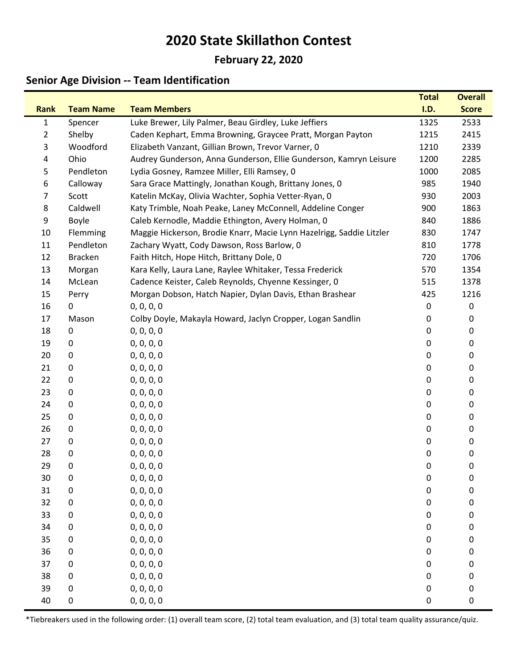## **February 22, 2020**

## **Senior Age Division -- Team Identification**

|                |                  |                                                                      | <b>Total</b> | <b>Overall</b> |
|----------------|------------------|----------------------------------------------------------------------|--------------|----------------|
| <b>Rank</b>    | <b>Team Name</b> | <b>Team Members</b>                                                  | I.D.         | <b>Score</b>   |
| $\mathbf{1}$   | Spencer          | Luke Brewer, Lily Palmer, Beau Girdley, Luke Jeffiers                | 1325         | 2533           |
| $\overline{2}$ | Shelby           | Caden Kephart, Emma Browning, Graycee Pratt, Morgan Payton           | 1215         | 2415           |
| 3              | Woodford         | Elizabeth Vanzant, Gillian Brown, Trevor Varner, 0                   | 1210         | 2339           |
| 4              | Ohio             | Audrey Gunderson, Anna Gunderson, Ellie Gunderson, Kamryn Leisure    | 1200         | 2285           |
| 5              | Pendleton        | Lydia Gosney, Ramzee Miller, Elli Ramsey, 0                          | 1000         | 2085           |
| 6              | Calloway         | Sara Grace Mattingly, Jonathan Kough, Brittany Jones, 0              | 985          | 1940           |
| $\overline{7}$ | Scott            | Katelin McKay, Olivia Wachter, Sophia Vetter-Ryan, 0                 | 930          | 2003           |
| 8              | Caldwell         | Katy Trimble, Noah Peake, Laney McConnell, Addeline Conger           | 900          | 1863           |
| 9              | Boyle            | Caleb Kernodle, Maddie Ethington, Avery Holman, 0                    | 840          | 1886           |
| 10             | Flemming         | Maggie Hickerson, Brodie Knarr, Macie Lynn Hazelrigg, Saddie Litzler | 830          | 1747           |
| 11             | Pendleton        | Zachary Wyatt, Cody Dawson, Ross Barlow, 0                           | 810          | 1778           |
| 12             | <b>Bracken</b>   | Faith Hitch, Hope Hitch, Brittany Dole, 0                            | 720          | 1706           |
| 13             | Morgan           | Kara Kelly, Laura Lane, Raylee Whitaker, Tessa Frederick             | 570          | 1354           |
| 14             | McLean           | Cadence Keister, Caleb Reynolds, Chyenne Kessinger, 0                | 515          | 1378           |
| 15             | Perry            | Morgan Dobson, Hatch Napier, Dylan Davis, Ethan Brashear             | 425          | 1216           |
| 16             | 0                | 0, 0, 0, 0                                                           | 0            | 0              |
| 17             | Mason            | Colby Doyle, Makayla Howard, Jaclyn Cropper, Logan Sandlin           | 0            | 0              |
| 18             | 0                | 0, 0, 0, 0                                                           | 0            | 0              |
| 19             | 0                | 0, 0, 0, 0                                                           | 0            | 0              |
| 20             | 0                | 0, 0, 0, 0                                                           | 0            | 0              |
| 21             | 0                | 0, 0, 0, 0                                                           | 0            | 0              |
| 22             | 0                | 0, 0, 0, 0                                                           | 0            | 0              |
| 23             | 0                | 0, 0, 0, 0                                                           | 0            | 0              |
| 24             | 0                | 0, 0, 0, 0                                                           | 0            | 0              |
| 25             | 0                | 0, 0, 0, 0                                                           | 0            | 0              |
| 26             | $\pmb{0}$        | 0, 0, 0, 0                                                           | 0            | 0              |
| 27             | 0                | 0, 0, 0, 0                                                           | 0            | 0              |
| 28             | 0                | 0, 0, 0, 0                                                           | 0            | 0              |
| 29             | 0                | 0, 0, 0, 0                                                           | 0            | 0              |
| 30             | $\pmb{0}$        | 0, 0, 0, 0                                                           | 0            | 0              |
| 31             | $\pmb{0}$        | 0, 0, 0, 0                                                           | 0            | 0              |
| 32             | $\pmb{0}$        | 0, 0, 0, 0                                                           | 0            | 0              |
| 33             | 0                | 0, 0, 0, 0                                                           | 0            | $\pmb{0}$      |
| 34             | 0                | 0, 0, 0, 0                                                           | 0            | 0              |
| 35             | 0                | 0, 0, 0, 0                                                           | 0            | 0              |
| 36             | $\pmb{0}$        | 0, 0, 0, 0                                                           | 0            | 0              |
| 37             | 0                | 0, 0, 0, 0                                                           | 0            | 0              |
| 38             | 0                | 0, 0, 0, 0                                                           | 0            | 0              |
| 39             | $\pmb{0}$        | 0, 0, 0, 0                                                           | 0            | $\pmb{0}$      |
| 40             | $\pmb{0}$        | 0, 0, 0, 0                                                           | 0            | $\pmb{0}$      |

\*Tiebreakers used in the following order: (1) overall team score, (2) total team evaluation, and (3) total team quality assurance/quiz.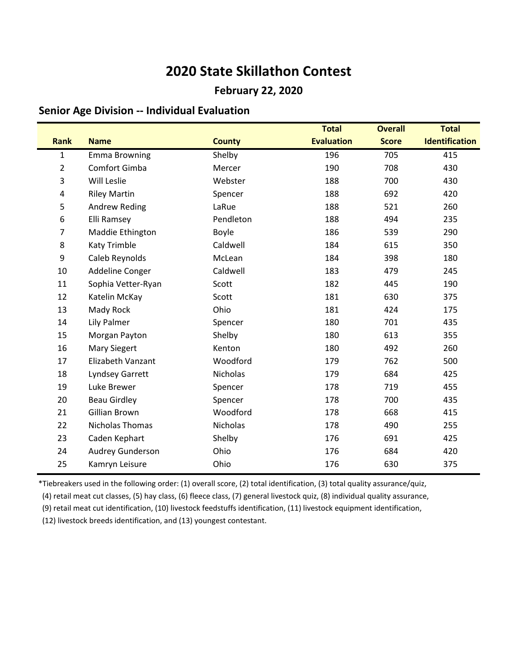### **February 22, 2020**

#### **Senior Age Division -- Individual Evaluation**

|                |                         |               | <b>Total</b>      | <b>Overall</b> | <b>Total</b>          |
|----------------|-------------------------|---------------|-------------------|----------------|-----------------------|
| <b>Rank</b>    | <b>Name</b>             | <b>County</b> | <b>Evaluation</b> | <b>Score</b>   | <b>Identification</b> |
| $\mathbf{1}$   | <b>Emma Browning</b>    | Shelby        | 196               | 705            | 415                   |
| $\overline{2}$ | Comfort Gimba           | Mercer        | 190               | 708            | 430                   |
| 3              | Will Leslie             | Webster       | 188               | 700            | 430                   |
| 4              | <b>Riley Martin</b>     | Spencer       | 188               | 692            | 420                   |
| 5              | <b>Andrew Reding</b>    | LaRue         | 188               | 521            | 260                   |
| 6              | Elli Ramsey             | Pendleton     | 188               | 494            | 235                   |
| $\overline{7}$ | Maddie Ethington        | Boyle         | 186               | 539            | 290                   |
| 8              | Katy Trimble            | Caldwell      | 184               | 615            | 350                   |
| 9              | Caleb Reynolds          | McLean        | 184               | 398            | 180                   |
| 10             | Addeline Conger         | Caldwell      | 183               | 479            | 245                   |
| 11             | Sophia Vetter-Ryan      | Scott         | 182               | 445            | 190                   |
| 12             | Katelin McKay           | Scott         | 181               | 630            | 375                   |
| 13             | Mady Rock               | Ohio          | 181               | 424            | 175                   |
| 14             | Lily Palmer             | Spencer       | 180               | 701            | 435                   |
| 15             | Morgan Payton           | Shelby        | 180               | 613            | 355                   |
| 16             | <b>Mary Siegert</b>     | Kenton        | 180               | 492            | 260                   |
| 17             | Elizabeth Vanzant       | Woodford      | 179               | 762            | 500                   |
| 18             | Lyndsey Garrett         | Nicholas      | 179               | 684            | 425                   |
| 19             | Luke Brewer             | Spencer       | 178               | 719            | 455                   |
| 20             | <b>Beau Girdley</b>     | Spencer       | 178               | 700            | 435                   |
| 21             | Gillian Brown           | Woodford      | 178               | 668            | 415                   |
| 22             | Nicholas Thomas         | Nicholas      | 178               | 490            | 255                   |
| 23             | Caden Kephart           | Shelby        | 176               | 691            | 425                   |
| 24             | <b>Audrey Gunderson</b> | Ohio          | 176               | 684            | 420                   |
| 25             | Kamryn Leisure          | Ohio          | 176               | 630            | 375                   |

\*Tiebreakers used in the following order: (1) overall score, (2) total identification, (3) total quality assurance/quiz,

(4) retail meat cut classes, (5) hay class, (6) fleece class, (7) general livestock quiz, (8) individual quality assurance,

(9) retail meat cut identification, (10) livestock feedstuffs identification, (11) livestock equipment identification,

(12) livestock breeds identification, and (13) youngest contestant.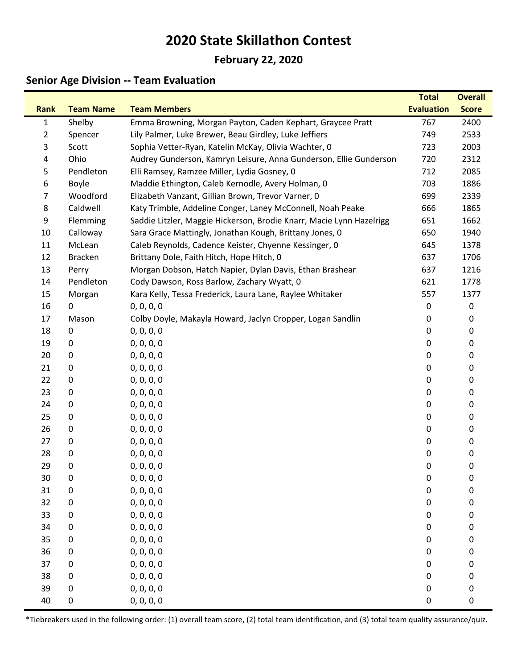## **February 22, 2020**

## **Senior Age Division -- Team Evaluation**

|                |                  |                                                                      | <b>Total</b>      | <b>Overall</b> |
|----------------|------------------|----------------------------------------------------------------------|-------------------|----------------|
| <b>Rank</b>    | <b>Team Name</b> | <b>Team Members</b>                                                  | <b>Evaluation</b> | <b>Score</b>   |
| $\mathbf{1}$   | Shelby           | Emma Browning, Morgan Payton, Caden Kephart, Graycee Pratt           | 767               | 2400           |
| $\overline{2}$ | Spencer          | Lily Palmer, Luke Brewer, Beau Girdley, Luke Jeffiers                | 749               | 2533           |
| 3              | Scott            | Sophia Vetter-Ryan, Katelin McKay, Olivia Wachter, 0                 | 723               | 2003           |
| $\overline{4}$ | Ohio             | Audrey Gunderson, Kamryn Leisure, Anna Gunderson, Ellie Gunderson    | 720               | 2312           |
| 5              | Pendleton        | Elli Ramsey, Ramzee Miller, Lydia Gosney, 0                          | 712               | 2085           |
| 6              | Boyle            | Maddie Ethington, Caleb Kernodle, Avery Holman, 0                    | 703               | 1886           |
| 7              | Woodford         | Elizabeth Vanzant, Gillian Brown, Trevor Varner, 0                   | 699               | 2339           |
| 8              | Caldwell         | Katy Trimble, Addeline Conger, Laney McConnell, Noah Peake           | 666               | 1865           |
| 9              | Flemming         | Saddie Litzler, Maggie Hickerson, Brodie Knarr, Macie Lynn Hazelrigg | 651               | 1662           |
| 10             | Calloway         | Sara Grace Mattingly, Jonathan Kough, Brittany Jones, 0              | 650               | 1940           |
| 11             | McLean           | Caleb Reynolds, Cadence Keister, Chyenne Kessinger, 0                | 645               | 1378           |
| 12             | <b>Bracken</b>   | Brittany Dole, Faith Hitch, Hope Hitch, 0                            | 637               | 1706           |
| 13             | Perry            | Morgan Dobson, Hatch Napier, Dylan Davis, Ethan Brashear             | 637               | 1216           |
| 14             | Pendleton        | Cody Dawson, Ross Barlow, Zachary Wyatt, 0                           | 621               | 1778           |
| 15             | Morgan           | Kara Kelly, Tessa Frederick, Laura Lane, Raylee Whitaker             | 557               | 1377           |
| 16             | 0                | 0, 0, 0, 0                                                           | 0                 | 0              |
| 17             | Mason            | Colby Doyle, Makayla Howard, Jaclyn Cropper, Logan Sandlin           | 0                 | 0              |
| 18             | 0                | 0, 0, 0, 0                                                           | 0                 | 0              |
| 19             | 0                | 0, 0, 0, 0                                                           | 0                 | 0              |
| 20             | 0                | 0, 0, 0, 0                                                           | 0                 | 0              |
| 21             | 0                | 0, 0, 0, 0                                                           | 0                 | 0              |
| 22             | 0                | 0, 0, 0, 0                                                           | 0                 | 0              |
| 23             | 0                | 0, 0, 0, 0                                                           | 0                 | 0              |
| 24             | 0                | 0, 0, 0, 0                                                           | 0                 | 0              |
| 25             | 0                | 0, 0, 0, 0                                                           | 0                 | 0              |
| 26             | 0                | 0, 0, 0, 0                                                           | 0                 | 0              |
| 27             | 0                | 0, 0, 0, 0                                                           | 0                 | 0              |
| 28             | $\pmb{0}$        | 0, 0, 0, 0                                                           | 0                 | 0              |
| 29             | 0                | 0, 0, 0, 0                                                           | 0                 | 0              |
| 30             | $\pmb{0}$        | 0, 0, 0, 0                                                           | $\mathbf 0$       | 0              |
| 31             | $\pmb{0}$        | 0, 0, 0, 0                                                           | 0                 | 0              |
| 32             | 0                | 0, 0, 0, 0                                                           | 0                 | 0              |
| 33             | 0                | 0, 0, 0, 0                                                           | 0                 | 0              |
| 34             | 0                | 0, 0, 0, 0                                                           | 0                 | 0              |
| 35             | $\pmb{0}$        | 0, 0, 0, 0                                                           | 0                 | 0              |
| 36             | $\pmb{0}$        | 0, 0, 0, 0                                                           | 0                 | 0              |
| 37             | 0                | 0, 0, 0, 0                                                           | 0                 | 0              |
| 38             | $\pmb{0}$        | 0, 0, 0, 0                                                           | 0                 | 0              |
| 39             | 0                | 0, 0, 0, 0                                                           | 0                 | 0              |
| 40             | $\pmb{0}$        | 0, 0, 0, 0                                                           | 0                 | $\pmb{0}$      |

\*Tiebreakers used in the following order: (1) overall team score, (2) total team identification, and (3) total team quality assurance/quiz.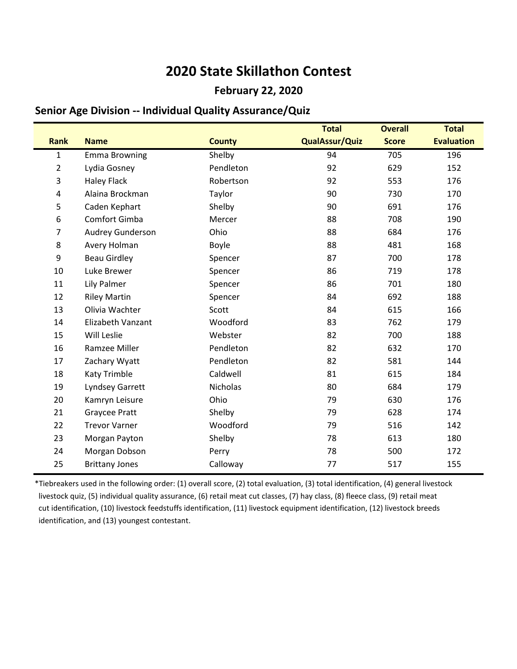### **February 22, 2020**

### **Senior Age Division -- Individual Quality Assurance/Quiz**

|                |                         |               | <b>Total</b>          | <b>Overall</b> | <b>Total</b>      |
|----------------|-------------------------|---------------|-----------------------|----------------|-------------------|
| <b>Rank</b>    | <b>Name</b>             | <b>County</b> | <b>QualAssur/Quiz</b> | <b>Score</b>   | <b>Evaluation</b> |
| $\mathbf{1}$   | <b>Emma Browning</b>    | Shelby        | 94                    | 705            | 196               |
| $\overline{2}$ | Lydia Gosney            | Pendleton     | 92                    | 629            | 152               |
| 3              | <b>Haley Flack</b>      | Robertson     | 92                    | 553            | 176               |
| 4              | Alaina Brockman         | Taylor        | 90                    | 730            | 170               |
| 5              | Caden Kephart           | Shelby        | 90                    | 691            | 176               |
| 6              | Comfort Gimba           | Mercer        | 88                    | 708            | 190               |
| $\overline{7}$ | <b>Audrey Gunderson</b> | Ohio          | 88                    | 684            | 176               |
| 8              | Avery Holman            | Boyle         | 88                    | 481            | 168               |
| 9              | <b>Beau Girdley</b>     | Spencer       | 87                    | 700            | 178               |
| 10             | Luke Brewer             | Spencer       | 86                    | 719            | 178               |
| 11             | Lily Palmer             | Spencer       | 86                    | 701            | 180               |
| 12             | <b>Riley Martin</b>     | Spencer       | 84                    | 692            | 188               |
| 13             | Olivia Wachter          | Scott         | 84                    | 615            | 166               |
| 14             | Elizabeth Vanzant       | Woodford      | 83                    | 762            | 179               |
| 15             | Will Leslie             | Webster       | 82                    | 700            | 188               |
| 16             | Ramzee Miller           | Pendleton     | 82                    | 632            | 170               |
| 17             | Zachary Wyatt           | Pendleton     | 82                    | 581            | 144               |
| 18             | Katy Trimble            | Caldwell      | 81                    | 615            | 184               |
| 19             | Lyndsey Garrett         | Nicholas      | 80                    | 684            | 179               |
| 20             | Kamryn Leisure          | Ohio          | 79                    | 630            | 176               |
| 21             | <b>Graycee Pratt</b>    | Shelby        | 79                    | 628            | 174               |
| 22             | <b>Trevor Varner</b>    | Woodford      | 79                    | 516            | 142               |
| 23             | Morgan Payton           | Shelby        | 78                    | 613            | 180               |
| 24             | Morgan Dobson           | Perry         | 78                    | 500            | 172               |
| 25             | <b>Brittany Jones</b>   | Calloway      | 77                    | 517            | 155               |

\*Tiebreakers used in the following order: (1) overall score, (2) total evaluation, (3) total identification, (4) general livestock livestock quiz, (5) individual quality assurance, (6) retail meat cut classes, (7) hay class, (8) fleece class, (9) retail meat cut identification, (10) livestock feedstuffs identification, (11) livestock equipment identification, (12) livestock breeds identification, and (13) youngest contestant.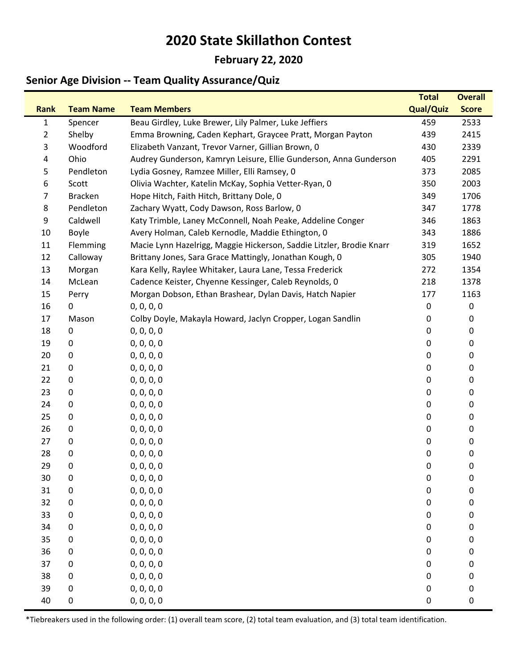### **February 22, 2020**

## **Senior Age Division -- Team Quality Assurance/Quiz**

|              |                  |                                                                      | <b>Total</b>     | <b>Overall</b> |
|--------------|------------------|----------------------------------------------------------------------|------------------|----------------|
| <b>Rank</b>  | <b>Team Name</b> | <b>Team Members</b>                                                  | <b>Qual/Quiz</b> | <b>Score</b>   |
| $\mathbf{1}$ | Spencer          | Beau Girdley, Luke Brewer, Lily Palmer, Luke Jeffiers                | 459              | 2533           |
| 2            | Shelby           | Emma Browning, Caden Kephart, Graycee Pratt, Morgan Payton           | 439              | 2415           |
| 3            | Woodford         | Elizabeth Vanzant, Trevor Varner, Gillian Brown, 0                   | 430              | 2339           |
| 4            | Ohio             | Audrey Gunderson, Kamryn Leisure, Ellie Gunderson, Anna Gunderson    | 405              | 2291           |
| 5            | Pendleton        | Lydia Gosney, Ramzee Miller, Elli Ramsey, 0                          | 373              | 2085           |
| 6            | Scott            | Olivia Wachter, Katelin McKay, Sophia Vetter-Ryan, 0                 | 350              | 2003           |
| 7            | <b>Bracken</b>   | Hope Hitch, Faith Hitch, Brittany Dole, 0                            | 349              | 1706           |
| 8            | Pendleton        | Zachary Wyatt, Cody Dawson, Ross Barlow, 0                           | 347              | 1778           |
| 9            | Caldwell         | Katy Trimble, Laney McConnell, Noah Peake, Addeline Conger           | 346              | 1863           |
| 10           | Boyle            | Avery Holman, Caleb Kernodle, Maddie Ethington, 0                    | 343              | 1886           |
| 11           | Flemming         | Macie Lynn Hazelrigg, Maggie Hickerson, Saddie Litzler, Brodie Knarr | 319              | 1652           |
| 12           | Calloway         | Brittany Jones, Sara Grace Mattingly, Jonathan Kough, 0              | 305              | 1940           |
| 13           | Morgan           | Kara Kelly, Raylee Whitaker, Laura Lane, Tessa Frederick             | 272              | 1354           |
| 14           | McLean           | Cadence Keister, Chyenne Kessinger, Caleb Reynolds, 0                | 218              | 1378           |
| 15           | Perry            | Morgan Dobson, Ethan Brashear, Dylan Davis, Hatch Napier             | 177              | 1163           |
| 16           | 0                | 0, 0, 0, 0                                                           | 0                | $\mathbf 0$    |
| 17           | Mason            | Colby Doyle, Makayla Howard, Jaclyn Cropper, Logan Sandlin           | 0                | 0              |
| 18           | 0                | 0, 0, 0, 0                                                           | 0                | 0              |
| 19           | 0                | 0, 0, 0, 0                                                           | 0                | 0              |
| 20           | 0                | 0, 0, 0, 0                                                           | 0                | 0              |
| 21           | 0                | 0, 0, 0, 0                                                           | 0                | 0              |
| 22           | 0                | 0, 0, 0, 0                                                           | 0                | 0              |
| 23           | 0                | 0, 0, 0, 0                                                           | 0                | 0              |
| 24           | 0                | 0, 0, 0, 0                                                           | 0                | 0              |
| 25           | 0                | 0, 0, 0, 0                                                           | 0                | 0              |
| 26           | 0                | 0, 0, 0, 0                                                           | 0                | 0              |
| 27           | 0                | 0, 0, 0, 0                                                           | 0                | 0              |
| 28           | 0                | 0, 0, 0, 0                                                           | 0                | 0              |
| 29           | 0                | 0, 0, 0, 0                                                           | 0                | 0              |
| 30           | $\pmb{0}$        | 0, 0, 0, 0                                                           | 0                | 0              |
| 31           | $\pmb{0}$        | 0, 0, 0, 0                                                           | 0                | 0              |
| 32           | 0                | 0, 0, 0, 0                                                           | 0                | 0              |
| 33           | 0                | 0, 0, 0, 0                                                           | 0                | 0              |
| 34           | 0                | 0, 0, 0, 0                                                           | 0                | 0              |
| 35           | $\pmb{0}$        | 0, 0, 0, 0                                                           | $\pmb{0}$        | 0              |
| 36           | $\pmb{0}$        | 0, 0, 0, 0                                                           | 0                | 0              |
| 37           | 0                | 0, 0, 0, 0                                                           | 0                | 0              |
| 38           | $\pmb{0}$        | 0, 0, 0, 0                                                           | 0                | 0              |
| 39           | 0                | 0, 0, 0, 0                                                           | 0                | 0              |
| 40           | $\pmb{0}$        | 0, 0, 0, 0                                                           | 0                | $\pmb{0}$      |

\*Tiebreakers used in the following order: (1) overall team score, (2) total team evaluation, and (3) total team identification.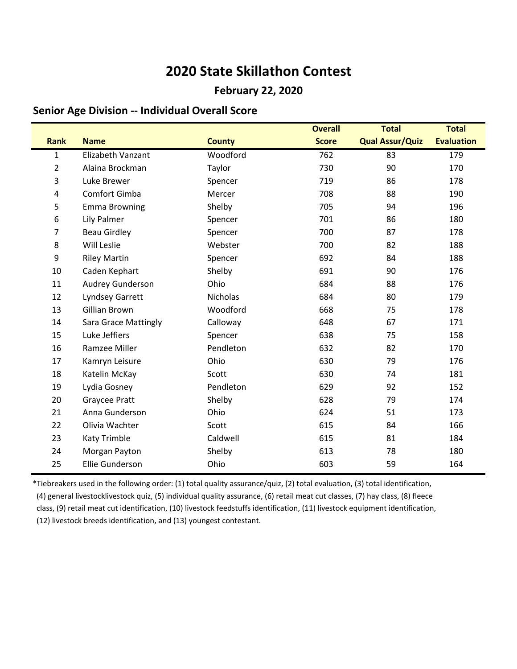### **February 22, 2020**

### **Senior Age Division -- Individual Overall Score**

|                  |                             |               | <b>Overall</b> | <b>Total</b>           | <b>Total</b>      |
|------------------|-----------------------------|---------------|----------------|------------------------|-------------------|
| <b>Rank</b>      | <b>Name</b>                 | <b>County</b> | <b>Score</b>   | <b>Qual Assur/Quiz</b> | <b>Evaluation</b> |
| $\mathbf{1}$     | Elizabeth Vanzant           | Woodford      | 762            | 83                     | 179               |
| $\overline{2}$   | Alaina Brockman             | Taylor        | 730            | 90                     | 170               |
| 3                | Luke Brewer                 | Spencer       | 719            | 86                     | 178               |
| $\overline{4}$   | Comfort Gimba               | Mercer        | 708            | 88                     | 190               |
| 5                | <b>Emma Browning</b>        | Shelby        | 705            | 94                     | 196               |
| $\boldsymbol{6}$ | Lily Palmer                 | Spencer       | 701            | 86                     | 180               |
| 7                | <b>Beau Girdley</b>         | Spencer       | 700            | 87                     | 178               |
| 8                | Will Leslie                 | Webster       | 700            | 82                     | 188               |
| 9                | <b>Riley Martin</b>         | Spencer       | 692            | 84                     | 188               |
| 10               | Caden Kephart               | Shelby        | 691            | 90                     | 176               |
| 11               | <b>Audrey Gunderson</b>     | Ohio          | 684            | 88                     | 176               |
| 12               | Lyndsey Garrett             | Nicholas      | 684            | 80                     | 179               |
| 13               | Gillian Brown               | Woodford      | 668            | 75                     | 178               |
| 14               | <b>Sara Grace Mattingly</b> | Calloway      | 648            | 67                     | 171               |
| 15               | Luke Jeffiers               | Spencer       | 638            | 75                     | 158               |
| 16               | Ramzee Miller               | Pendleton     | 632            | 82                     | 170               |
| 17               | Kamryn Leisure              | Ohio          | 630            | 79                     | 176               |
| 18               | Katelin McKay               | Scott         | 630            | 74                     | 181               |
| 19               | Lydia Gosney                | Pendleton     | 629            | 92                     | 152               |
| 20               | Graycee Pratt               | Shelby        | 628            | 79                     | 174               |
| 21               | Anna Gunderson              | Ohio          | 624            | 51                     | 173               |
| 22               | Olivia Wachter              | Scott         | 615            | 84                     | 166               |
| 23               | Katy Trimble                | Caldwell      | 615            | 81                     | 184               |
| 24               | Morgan Payton               | Shelby        | 613            | 78                     | 180               |
| 25               | Ellie Gunderson             | Ohio          | 603            | 59                     | 164               |

\*Tiebreakers used in the following order: (1) total quality assurance/quiz, (2) total evaluation, (3) total identification, (4) general livestocklivestock quiz, (5) individual quality assurance, (6) retail meat cut classes, (7) hay class, (8) fleece class, (9) retail meat cut identification, (10) livestock feedstuffs identification, (11) livestock equipment identification, (12) livestock breeds identification, and (13) youngest contestant.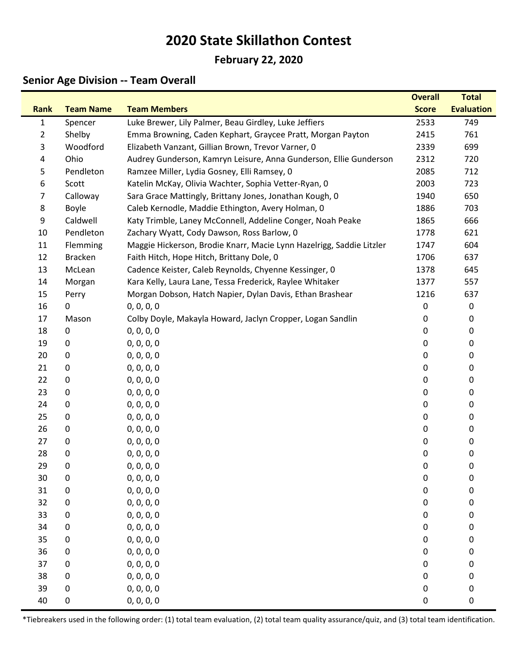## **February 22, 2020**

## **Senior Age Division -- Team Overall**

|                |                  |                                                                      | <b>Overall</b> | <b>Total</b>      |
|----------------|------------------|----------------------------------------------------------------------|----------------|-------------------|
| <b>Rank</b>    | <b>Team Name</b> | <b>Team Members</b>                                                  | <b>Score</b>   | <b>Evaluation</b> |
| $\mathbf{1}$   | Spencer          | Luke Brewer, Lily Palmer, Beau Girdley, Luke Jeffiers                | 2533           | 749               |
| $\overline{2}$ | Shelby           | Emma Browning, Caden Kephart, Graycee Pratt, Morgan Payton           | 2415           | 761               |
| 3              | Woodford         | Elizabeth Vanzant, Gillian Brown, Trevor Varner, 0                   | 2339           | 699               |
| 4              | Ohio             | Audrey Gunderson, Kamryn Leisure, Anna Gunderson, Ellie Gunderson    | 2312           | 720               |
| 5              | Pendleton        | Ramzee Miller, Lydia Gosney, Elli Ramsey, 0                          | 2085           | 712               |
| 6              | Scott            | Katelin McKay, Olivia Wachter, Sophia Vetter-Ryan, 0                 | 2003           | 723               |
| 7              | Calloway         | Sara Grace Mattingly, Brittany Jones, Jonathan Kough, 0              | 1940           | 650               |
| 8              | Boyle            | Caleb Kernodle, Maddie Ethington, Avery Holman, 0                    | 1886           | 703               |
| 9              | Caldwell         | Katy Trimble, Laney McConnell, Addeline Conger, Noah Peake           | 1865           | 666               |
| 10             | Pendleton        | Zachary Wyatt, Cody Dawson, Ross Barlow, 0                           | 1778           | 621               |
| 11             | Flemming         | Maggie Hickerson, Brodie Knarr, Macie Lynn Hazelrigg, Saddie Litzler | 1747           | 604               |
| 12             | <b>Bracken</b>   | Faith Hitch, Hope Hitch, Brittany Dole, 0                            | 1706           | 637               |
| 13             | McLean           | Cadence Keister, Caleb Reynolds, Chyenne Kessinger, 0                | 1378           | 645               |
| 14             | Morgan           | Kara Kelly, Laura Lane, Tessa Frederick, Raylee Whitaker             | 1377           | 557               |
| 15             | Perry            | Morgan Dobson, Hatch Napier, Dylan Davis, Ethan Brashear             | 1216           | 637               |
| 16             | $\mathbf 0$      | 0, 0, 0, 0                                                           | 0              | 0                 |
| 17             | Mason            | Colby Doyle, Makayla Howard, Jaclyn Cropper, Logan Sandlin           | 0              | 0                 |
| 18             | 0                | 0, 0, 0, 0                                                           | 0              | 0                 |
| 19             | 0                | 0, 0, 0, 0                                                           | 0              | 0                 |
| 20             | $\pmb{0}$        | 0, 0, 0, 0                                                           | 0              | 0                 |
| 21             | 0                | 0, 0, 0, 0                                                           | 0              | 0                 |
| 22             | $\pmb{0}$        | 0, 0, 0, 0                                                           | 0              | 0                 |
| 23             | 0                | 0, 0, 0, 0                                                           | 0              | 0                 |
| 24             | $\pmb{0}$        | 0, 0, 0, 0                                                           | 0              | 0                 |
| 25             | 0                | 0, 0, 0, 0                                                           | 0              | 0                 |
| 26             | $\pmb{0}$        | 0, 0, 0, 0                                                           | 0              | 0                 |
| 27             | $\pmb{0}$        | 0, 0, 0, 0                                                           | 0              | 0                 |
| 28             | 0                | 0, 0, 0, 0                                                           | 0              | 0                 |
| 29             | 0                | 0, 0, 0, 0                                                           | 0              | 0                 |
| 30             | 0                | 0, 0, 0, 0                                                           | 0              | 0                 |
| 31             | 0                | 0, 0, 0, 0                                                           | $\pmb{0}$      | 0                 |
| 32             | 0                | 0, 0, 0, 0                                                           | 0              | 0                 |
| 33             | 0                | 0, 0, 0, 0                                                           | 0              | 0                 |
| 34             | 0                | 0, 0, 0, 0                                                           | 0              | 0                 |
| 35             | 0                | 0, 0, 0, 0                                                           | 0              | 0                 |
| 36             | 0                | 0, 0, 0, 0                                                           | $\pmb{0}$      | 0                 |
| 37             | 0                | 0, 0, 0, 0                                                           | 0              | 0                 |
| 38             | 0                | 0, 0, 0, 0                                                           | 0              | 0                 |
| 39             | 0                | 0, 0, 0, 0                                                           | 0              | 0                 |
| 40             | $\pmb{0}$        | 0, 0, 0, 0                                                           | 0              | 0                 |

\*Tiebreakers used in the following order: (1) total team evaluation, (2) total team quality assurance/quiz, and (3) total team identification.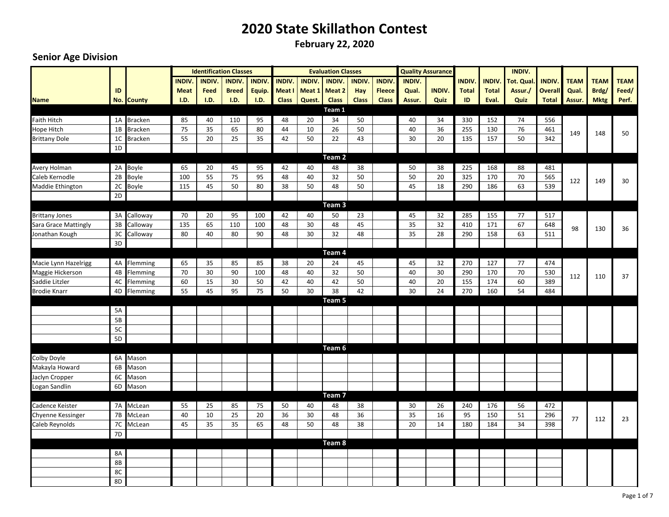**February 22, 2020**

|                       |                |                |               |              | <b>Identification Classes</b> |               |               |               | <b>Evaluation Classes</b> |               |               |               | <b>Quality Assurance</b> |               |               | <b>INDIV.</b>    |                |             |             |             |
|-----------------------|----------------|----------------|---------------|--------------|-------------------------------|---------------|---------------|---------------|---------------------------|---------------|---------------|---------------|--------------------------|---------------|---------------|------------------|----------------|-------------|-------------|-------------|
|                       |                |                | <b>INDIV.</b> | <b>INDIV</b> | <b>INDIV.</b>                 | <b>INDIV.</b> | <b>INDIV.</b> | <b>INDIV.</b> | <b>INDIV.</b>             | <b>INDIV.</b> | <b>INDIV.</b> | <b>INDIV.</b> |                          | <b>INDIV.</b> | <b>INDIV.</b> | <b>Tot. Qual</b> | <b>INDIV</b>   | <b>TEAM</b> | <b>TEAM</b> | <b>TEAM</b> |
|                       | ID             |                | <b>Meat</b>   | Feed         | <b>Breed</b>                  | Equip.        | Meat I        | Meat 1        | Meat 2                    | Hay           | <b>Fleece</b> | Qual.         | <b>INDIV.</b>            | <b>Total</b>  | <b>Total</b>  | Assur./          | <b>Overall</b> | Qual.       | Brdg/       | Feed/       |
| <b>Name</b>           |                | No. County     | I.D.          | I.D.         | I.D.                          | I.D.          | <b>Class</b>  | Quest.        | <b>Class</b>              | <b>Class</b>  | <b>Class</b>  | Assur.        | Quiz                     | ID            | Eval.         | Quiz             | <b>Total</b>   | Assur.      | <b>Mktg</b> | Perf.       |
|                       |                |                |               |              |                               |               |               |               | Team 1                    |               |               |               |                          |               |               |                  |                |             |             |             |
| <b>Faith Hitch</b>    |                | 1A Bracken     | 85            | 40           | 110                           | 95            | 48            | 20            | 34                        | 50            |               | 40            | 34                       | 330           | 152           | 74               | 556            |             |             |             |
| Hope Hitch            | 1B             | <b>Bracken</b> | 75            | 35           | 65                            | 80            | 44            | 10            | 26                        | 50            |               | 40            | 36                       | 255           | 130           | 76               | 461            | 149         | 148         | 50          |
| <b>Brittany Dole</b>  | 1 <sup>C</sup> | <b>Bracken</b> | 55            | 20           | 25                            | 35            | 42            | 50            | 22                        | 43            |               | 30            | 20                       | 135           | 157           | 50               | 342            |             |             |             |
|                       | 1D             |                |               |              |                               |               |               |               |                           |               |               |               |                          |               |               |                  |                |             |             |             |
|                       |                |                |               |              |                               |               |               |               | Team 2                    |               |               |               |                          |               |               |                  |                |             |             |             |
| Avery Holman          |                | 2A Boyle       | 65            | 20           | 45                            | 95            | 42            | 40            | 48                        | 38            |               | 50            | 38                       | 225           | 168           | 88               | 481            |             |             |             |
| Caleb Kernodle        | 2B             | Boyle          | 100           | 55           | 75                            | 95            | 48            | 40            | 32                        | 50            |               | 50            | 20                       | 325           | 170           | 70               | 565            | 122         | 149         | 30          |
| Maddie Ethington      | 2C             | Boyle          | 115           | 45           | 50                            | 80            | 38            | 50            | 48                        | 50            |               | 45            | 18                       | 290           | 186           | 63               | 539            |             |             |             |
|                       | 2D             |                |               |              |                               |               |               |               |                           |               |               |               |                          |               |               |                  |                |             |             |             |
|                       |                |                |               |              |                               |               |               |               | Team <sub>3</sub>         |               |               |               |                          |               |               |                  |                |             |             |             |
| <b>Brittany Jones</b> | 3A             | Calloway       | 70            | 20           | 95                            | 100           | 42            | 40            | 50                        | 23            |               | 45            | 32                       | 285           | 155           | 77               | 517            |             |             |             |
| Sara Grace Mattingly  | 3B             | Calloway       | 135           | 65           | 110                           | 100           | 48            | 30            | 48                        | 45            |               | 35            | 32                       | 410           | 171           | 67               | 648            | 98          | 130         | 36          |
| Jonathan Kough        | 3C             | Calloway       | 80            | 40           | 80                            | 90            | 48            | 30            | 32                        | 48            |               | 35            | 28                       | 290           | 158           | 63               | 511            |             |             |             |
|                       | 3D             |                |               |              |                               |               |               |               |                           |               |               |               |                          |               |               |                  |                |             |             |             |
|                       |                |                |               |              |                               |               |               |               | Team 4                    |               |               |               |                          |               |               |                  |                |             |             |             |
| Macie Lynn Hazelrigg  | 4A             | Flemming       | 65            | 35           | 85                            | 85            | 38            | 20            | 24                        | 45            |               | 45            | 32                       | 270           | 127           | 77               | 474            |             |             |             |
| Maggie Hickerson      | 4B<br>4C       | Flemming       | 70            | 30           | 90                            | 100           | 48<br>42      | 40<br>40      | 32<br>42                  | 50<br>50      |               | 40<br>40      | 30<br>20                 | 290           | 170           | 70<br>60         | 530<br>389     | 112         | 110         | 37          |
| Saddie Litzler        | 4D             | Flemming       | 60<br>55      | 15<br>45     | 30<br>95                      | 50<br>75      | 50            | 30            | 38                        | 42            |               | 30            | 24                       | 155<br>270    | 174<br>160    | 54               | 484            |             |             |             |
| <b>Brodie Knarr</b>   |                | Flemming       |               |              |                               |               |               |               | Team 5                    |               |               |               |                          |               |               |                  |                |             |             |             |
|                       | 5A             |                |               |              |                               |               |               |               |                           |               |               |               |                          |               |               |                  |                |             |             |             |
|                       | 5B             |                |               |              |                               |               |               |               |                           |               |               |               |                          |               |               |                  |                |             |             |             |
|                       | 5C             |                |               |              |                               |               |               |               |                           |               |               |               |                          |               |               |                  |                |             |             |             |
|                       | 5D             |                |               |              |                               |               |               |               |                           |               |               |               |                          |               |               |                  |                |             |             |             |
|                       |                |                |               |              |                               |               |               |               | Team 6                    |               |               |               |                          |               |               |                  |                |             |             |             |
| Colby Doyle           |                | 6A Mason       |               |              |                               |               |               |               |                           |               |               |               |                          |               |               |                  |                |             |             |             |
| Makayla Howard        | 6B             | Mason          |               |              |                               |               |               |               |                           |               |               |               |                          |               |               |                  |                |             |             |             |
| Jaclyn Cropper        | 6C             | Mason          |               |              |                               |               |               |               |                           |               |               |               |                          |               |               |                  |                |             |             |             |
| Logan Sandlin         | 6D             | Mason          |               |              |                               |               |               |               |                           |               |               |               |                          |               |               |                  |                |             |             |             |
|                       |                |                |               |              |                               |               |               |               | Team <sub>7</sub>         |               |               |               |                          |               |               |                  |                |             |             |             |
| Cadence Keister       |                | 7A McLean      | 55            | 25           | 85                            | 75            | 50            | 40            | 48                        | 38            |               | 30            | 26                       | 240           | 176           | 56               | 472            |             |             |             |
| Chyenne Kessinger     | $7\mathsf{B}$  | McLean         | 40            | 10           | 25                            | 20            | 36            | 30            | 48                        | 36            |               | 35            | 16                       | 95            | 150           | 51               | 296            |             |             |             |
| Caleb Reynolds        | $7\mathrm{C}$  | McLean         | 45            | 35           | 35                            | 65            | 48            | 50            | 48                        | 38            |               | 20            | 14                       | 180           | 184           | 34               | 398            | 77          | 112         | 23          |
|                       | 7 <sub>D</sub> |                |               |              |                               |               |               |               |                           |               |               |               |                          |               |               |                  |                |             |             |             |
|                       |                |                |               |              |                               |               |               |               | Team 8                    |               |               |               |                          |               |               |                  |                |             |             |             |
|                       | 8A             |                |               |              |                               |               |               |               |                           |               |               |               |                          |               |               |                  |                |             |             |             |
|                       | 8B             |                |               |              |                               |               |               |               |                           |               |               |               |                          |               |               |                  |                |             |             |             |
|                       | 8C             |                |               |              |                               |               |               |               |                           |               |               |               |                          |               |               |                  |                |             |             |             |
|                       | 8D             |                |               |              |                               |               |               |               |                           |               |               |               |                          |               |               |                  |                |             |             |             |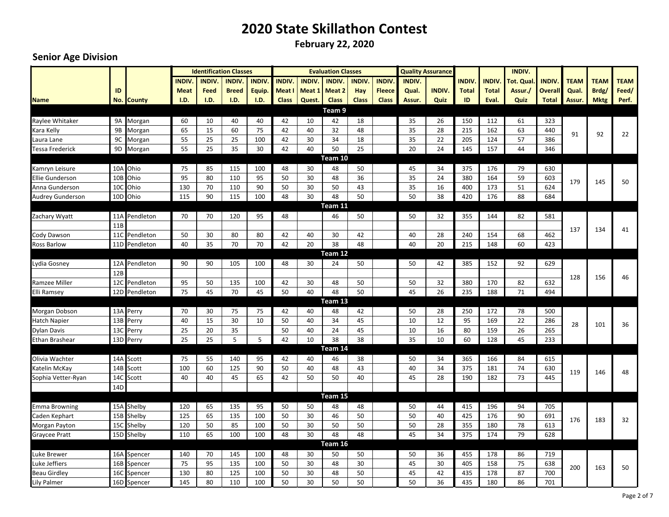**February 22, 2020**

|                         |            |                   |              |              | <b>Identification Classes</b> |              |              |               | <b>Evaluation Classes</b> |              |               |               | <b>Quality Assurance</b> |              |               | <b>INDIV.</b>    |              |             |             |             |
|-------------------------|------------|-------------------|--------------|--------------|-------------------------------|--------------|--------------|---------------|---------------------------|--------------|---------------|---------------|--------------------------|--------------|---------------|------------------|--------------|-------------|-------------|-------------|
|                         |            |                   | <b>INDIV</b> | <b>INDIV</b> | <b>INDIV</b>                  | <b>INDIV</b> | <b>INDIV</b> | <b>INDIV.</b> | <b>INDIV.</b>             | <b>INDIV</b> | <b>INDIV</b>  | <b>INDIV.</b> |                          | <b>INDIV</b> | <b>INDIV.</b> | <b>Tot. Qual</b> | <b>INDIV</b> | <b>TEAM</b> | <b>TEAM</b> | <b>TEAM</b> |
|                         | ID         |                   | <b>Meat</b>  | Feed         | <b>Breed</b>                  | Equip.       | Meat I       | Meat 1        | Meat 2                    | Hay          | <b>Fleece</b> | Qual.         | <b>INDIV.</b>            | <b>Total</b> | <b>Total</b>  | Assur./          | Overall      | Qual.       | Brdg/       | Feed/       |
| <b>Name</b>             |            | <b>No. County</b> | I.D.         | I.D.         | <b>I.D.</b>                   | I.D.         | <b>Class</b> | Quest.        | <b>Class</b>              | <b>Class</b> | <b>Class</b>  | Assur.        | Quiz                     | ID           | Eval.         | Quiz             | <b>Total</b> | Assur.      | <b>Mktg</b> | Perf.       |
|                         |            |                   |              |              |                               |              |              |               | Team 9                    |              |               |               |                          |              |               |                  |              |             |             |             |
| Raylee Whitaker         |            | 9A Morgan         | 60           | 10           | 40                            | 40           | 42           | 10            | 42                        | 18           |               | 35            | 26                       | 150          | 112           | 61               | 323          |             |             |             |
| Kara Kelly              | 9B         | Morgan            | 65           | 15           | 60                            | 75           | 42           | 40            | 32                        | 48           |               | 35            | 28                       | 215          | 162           | 63               | 440          | 91          | 92          | 22          |
| Laura Lane              |            | 9C Morgan         | 55           | 25           | 25                            | 100          | 42           | 30            | 34                        | 18           |               | 35            | 22                       | 205          | 124           | 57               | 386          |             |             |             |
| Tessa Frederick         |            | 9D Morgan         | 55           | 25           | 35                            | 30           | 42           | 40            | 50                        | 25           |               | 20            | 24                       | 145          | 157           | 44               | 346          |             |             |             |
|                         |            |                   |              |              |                               |              |              |               | Team 10                   |              |               |               |                          |              |               |                  |              |             |             |             |
| Kamryn Leisure          |            | 10A Ohio          | 75           | 85           | 115                           | 100          | 48           | 30            | 48                        | 50           |               | 45            | 34                       | 375          | 176           | 79               | 630          |             |             |             |
| <b>Ellie Gunderson</b>  | 10B        | Ohio              | 95           | 80           | 110                           | 95           | 50           | 30            | 48                        | 36           |               | 35            | 24                       | 380          | 164           | 59               | 603          | 179         | 145         | 50          |
| Anna Gunderson          | 10C        | Ohio              | 130          | 70           | 110                           | 90           | 50           | 30            | 50                        | 43           |               | 35            | 16                       | 400          | 173           | 51               | 624          |             |             |             |
| <b>Audrey Gunderson</b> |            | 10D Ohio          | 115          | 90           | 115                           | 100          | 48           | 30            | 48                        | 50           |               | 50            | 38                       | 420          | 176           | 88               | 684          |             |             |             |
|                         |            |                   |              |              |                               |              |              |               | Team 11                   |              |               |               |                          |              |               |                  |              |             |             |             |
| Zachary Wyatt           |            | 11A Pendleton     | 70           | 70           | 120                           | 95           | 48           |               | 46                        | 50           |               | 50            | 32                       | 355          | 144           | 82               | 581          |             |             |             |
|                         | 11B        |                   |              |              |                               |              |              |               |                           |              |               |               |                          |              |               |                  |              | 137         | 134         | 41          |
| Cody Dawson             |            | 11C Pendleton     | 50           | 30           | 80                            | 80           | 42           | 40            | 30                        | 42           |               | 40            | 28                       | 240          | 154           | 68               | 462          |             |             |             |
| <b>Ross Barlow</b>      |            | 11D Pendleton     | 40           | 35           | 70                            | 70           | 42           | 20            | 38                        | 48           |               | 40            | 20                       | 215          | 148           | 60               | 423          |             |             |             |
|                         |            |                   |              |              |                               |              |              |               | Team 12                   |              |               |               |                          |              |               |                  |              |             |             |             |
| Lydia Gosney            |            | 12A Pendleton     | 90           | 90           | 105                           | 100          | 48           | 30            | 24                        | 50           |               | 50            | 42                       | 385          | 152           | 92               | 629          |             |             |             |
|                         | 12B<br>12C | Pendleton         | 95           | 50           |                               |              | 42           |               |                           | 50           |               | 50            |                          | 380          |               |                  | 632          | 128         | 156         | 46          |
| <b>Ramzee Miller</b>    |            |                   |              | 45           | 135<br>70                     | 100<br>45    | 50           | 30<br>40      | 48<br>48                  | 50           |               | 45            | 32<br>26                 | 235          | 170<br>188    | 82<br>71         | 494          |             |             |             |
| Elli Ramsey             | 12D        | Pendleton         | 75           |              |                               |              |              |               | Team 13                   |              |               |               |                          |              |               |                  |              |             |             |             |
| Morgan Dobson           |            | 13A Perry         | 70           | 30           | 75                            | 75           | 42           | 40            | 48                        | 42           |               | 50            | 28                       | 250          | 172           | 78               | 500          |             |             |             |
| Hatch Napier            |            | 13B Perry         | 40           | 15           | 30                            | 10           | 50           | 40            | 34                        | 45           |               | 10            | 12                       | 95           | 169           | 22               | 286          |             |             |             |
| <b>Dylan Davis</b>      |            | 13C Perry         | 25           | 20           | 35                            |              | 50           | 40            | 24                        | 45           |               | 10            | 16                       | 80           | 159           | 26               | 265          | 28          | 101         | 36          |
| Ethan Brashear          | 13D        | Perry             | 25           | 25           | 5                             | 5            | 42           | 10            | 38                        | 38           |               | 35            | 10                       | 60           | 128           | 45               | 233          |             |             |             |
|                         |            |                   |              |              |                               |              |              |               | Team 14                   |              |               |               |                          |              |               |                  |              |             |             |             |
| Olivia Wachter          |            | 14A Scott         | 75           | 55           | 140                           | 95           | 42           | 40            | 46                        | 38           |               | 50            | 34                       | 365          | 166           | 84               | 615          |             |             |             |
| Katelin McKay           | 14B        | Scott             | 100          | 60           | 125                           | 90           | 50           | 40            | 48                        | 43           |               | 40            | 34                       | 375          | 181           | 74               | 630          |             |             |             |
| Sophia Vetter-Ryan      | 14C        | Scott             | 40           | 40           | 45                            | 65           | 42           | 50            | 50                        | 40           |               | 45            | 28                       | 190          | 182           | 73               | 445          | 119         | 146         | 48          |
|                         | 14D        |                   |              |              |                               |              |              |               |                           |              |               |               |                          |              |               |                  |              |             |             |             |
|                         |            |                   |              |              |                               |              |              |               | Team 15                   |              |               |               |                          |              |               |                  |              |             |             |             |
| <b>Emma Browning</b>    |            | 15A Shelby        | 120          | 65           | 135                           | 95           | 50           | 50            | 48                        | 48           |               | 50            | 44                       | 415          | 196           | 94               | 705          |             |             |             |
| Caden Kephart           |            | 15B Shelby        | 125          | 65           | 135                           | 100          | 50           | 30            | 46                        | 50           |               | 50            | 40                       | 425          | 176           | 90               | 691          | 176         | 183         | 32          |
| Morgan Payton           |            | 15C Shelby        | 120          | 50           | 85                            | 100          | 50           | 30            | 50                        | 50           |               | 50            | 28                       | 355          | 180           | 78               | 613          |             |             |             |
| <b>Graycee Pratt</b>    |            | 15D Shelby        | 110          | 65           | 100                           | 100          | 48           | 30            | 48                        | 48           |               | 45            | 34                       | 375          | 174           | 79               | 628          |             |             |             |
|                         |            |                   |              |              |                               |              |              |               | Team 16                   |              |               |               |                          |              |               |                  |              |             |             |             |
| Luke Brewer             | 16A        | Spencer           | 140          | 70           | 145                           | 100          | 48           | 30            | 50                        | 50           |               | 50            | 36                       | 455          | 178           | 86               | 719          |             |             |             |
| Luke Jeffiers           | 16B        | Spencer           | 75           | 95           | 135                           | 100          | 50           | 30            | 48                        | 30           |               | 45            | 30                       | 405          | 158           | 75               | 638          | 200         | 163         | 50          |
| <b>Beau Girdley</b>     | 16C        | Spencer           | 130          | 80           | 125                           | 100          | 50           | 30            | 48                        | 50           |               | 45            | 42                       | 435          | 178           | 87               | 700          |             |             |             |
| <b>Lily Palmer</b>      |            | 16D Spencer       | 145          | 80           | 110                           | 100          | 50           | 30            | 50                        | 50           |               | 50            | 36                       | 435          | 180           | 86               | 701          |             |             |             |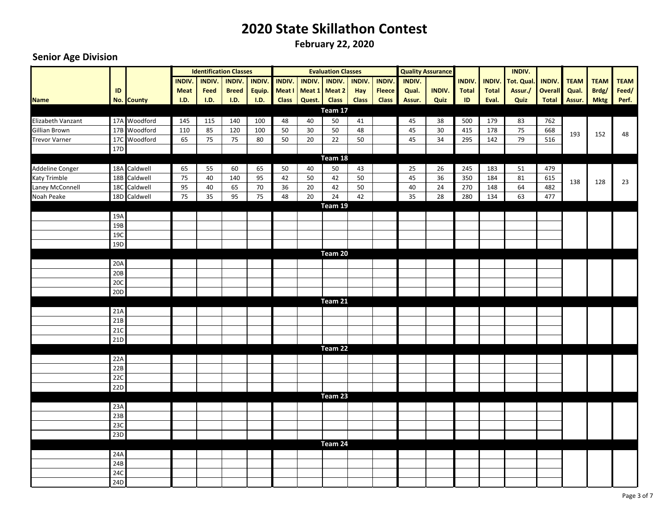**February 22, 2020**

|                      |                 |              |               |               | <b>Identification Classes</b> |               |               |                             | <b>Evaluation Classes</b> |               |               |               | <b>Quality Assurance</b> |               |               | INDIV.            |                |             |             |             |
|----------------------|-----------------|--------------|---------------|---------------|-------------------------------|---------------|---------------|-----------------------------|---------------------------|---------------|---------------|---------------|--------------------------|---------------|---------------|-------------------|----------------|-------------|-------------|-------------|
|                      |                 |              | <b>INDIV.</b> | <b>INDIV.</b> | <b>INDIV.</b>                 | <b>INDIV.</b> | <b>INDIV.</b> | <b>INDIV.</b>               | <b>INDIV.</b>             | <b>INDIV.</b> | <b>INDIV.</b> | <b>INDIV.</b> |                          | <b>INDIV.</b> | <b>INDIV.</b> | <b>Tot. Qual.</b> | <b>INDIV.</b>  | <b>TEAM</b> | <b>TEAM</b> | <b>TEAM</b> |
|                      | ID              |              | <b>Meat</b>   | Feed          | <b>Breed</b>                  |               |               | Equip. Meat I Meat 1 Meat 2 |                           | Hay           | <b>Fleece</b> | Qual.         | <b>INDIV.</b>            | <b>Total</b>  | <b>Total</b>  | Assur./           | <b>Overall</b> | Qual.       | Brdg/       | Feed/       |
| <b>Name</b>          |                 | No. County   | I.D.          | I.D.          | I.D.                          | I.D.          | <b>Class</b>  | Quest.                      | <b>Class</b>              | <b>Class</b>  | <b>Class</b>  | Assur.        | Quiz                     | ID            | Eval.         | Quiz              | <b>Total</b>   | Assur.      | <b>Mktg</b> | Perf.       |
|                      |                 |              |               |               |                               |               |               |                             | Team 17                   |               |               |               |                          |               |               |                   |                |             |             |             |
| Elizabeth Vanzant    |                 | 17A Woodford | 145           | 115           | 140                           | 100           | 48            | 40                          | 50                        | 41            |               | 45            | 38                       | 500           | 179           | 83                | 762            |             |             |             |
| Gillian Brown        |                 | 17B Woodford | 110           | 85            | 120                           | 100           | 50            | 30                          | 50                        | 48            |               | 45            | 30                       | 415           | 178           | 75                | 668            | 193         | 152         | 48          |
| <b>Trevor Varner</b> |                 | 17C Woodford | 65            | 75            | 75                            | 80            | 50            | 20                          | 22                        | 50            |               | 45            | 34                       | 295           | 142           | 79                | 516            |             |             |             |
|                      | 17 <sub>D</sub> |              |               |               |                               |               |               |                             |                           |               |               |               |                          |               |               |                   |                |             |             |             |
|                      |                 |              |               |               |                               |               |               |                             | Team 18                   |               |               |               |                          |               |               |                   |                |             |             |             |
| Addeline Conger      |                 | 18A Caldwell | 65            | 55            | 60                            | 65            | 50            | 40                          | 50                        | 43            |               | 25            | 26                       | 245           | 183           | 51                | 479            |             |             |             |
| Katy Trimble         |                 | 18B Caldwell | 75            | 40            | 140                           | 95            | 42            | 50                          | 42                        | 50            |               | 45            | 36                       | 350           | 184           | 81                | 615            | 138         | 128         | 23          |
| Laney McConnell      |                 | 18C Caldwell | 95            | 40            | 65                            | 70            | 36            | $20\,$                      | 42                        | 50            |               | 40            | $24$                     | 270           | 148           | 64                | 482            |             |             |             |
| Noah Peake           |                 | 18D Caldwell | 75            | 35            | 95                            | 75            | 48            | 20                          | 24                        | 42            |               | 35            | 28                       | 280           | 134           | 63                | 477            |             |             |             |
|                      |                 |              |               |               |                               |               |               |                             | Team 19                   |               |               |               |                          |               |               |                   |                |             |             |             |
|                      | 19A             |              |               |               |                               |               |               |                             |                           |               |               |               |                          |               |               |                   |                |             |             |             |
|                      | 19B             |              |               |               |                               |               |               |                             |                           |               |               |               |                          |               |               |                   |                |             |             |             |
|                      | 19C<br>19D      |              |               |               |                               |               |               |                             |                           |               |               |               |                          |               |               |                   |                |             |             |             |
|                      |                 |              |               |               |                               |               |               |                             | Team 20                   |               |               |               |                          |               |               |                   |                |             |             |             |
|                      | 20A             |              |               |               |                               |               |               |                             |                           |               |               |               |                          |               |               |                   |                |             |             |             |
|                      | 20B             |              |               |               |                               |               |               |                             |                           |               |               |               |                          |               |               |                   |                |             |             |             |
|                      | 20C             |              |               |               |                               |               |               |                             |                           |               |               |               |                          |               |               |                   |                |             |             |             |
|                      | 20D             |              |               |               |                               |               |               |                             |                           |               |               |               |                          |               |               |                   |                |             |             |             |
|                      |                 |              |               |               |                               |               |               |                             | Team 21                   |               |               |               |                          |               |               |                   |                |             |             |             |
|                      | 21A             |              |               |               |                               |               |               |                             |                           |               |               |               |                          |               |               |                   |                |             |             |             |
|                      | 21B             |              |               |               |                               |               |               |                             |                           |               |               |               |                          |               |               |                   |                |             |             |             |
|                      | 21C             |              |               |               |                               |               |               |                             |                           |               |               |               |                          |               |               |                   |                |             |             |             |
|                      | 21D             |              |               |               |                               |               |               |                             |                           |               |               |               |                          |               |               |                   |                |             |             |             |
|                      |                 |              |               |               |                               |               |               |                             | Team 22                   |               |               |               |                          |               |               |                   |                |             |             |             |
|                      | 22A             |              |               |               |                               |               |               |                             |                           |               |               |               |                          |               |               |                   |                |             |             |             |
|                      | 22B             |              |               |               |                               |               |               |                             |                           |               |               |               |                          |               |               |                   |                |             |             |             |
|                      | 22C             |              |               |               |                               |               |               |                             |                           |               |               |               |                          |               |               |                   |                |             |             |             |
|                      | 22D             |              |               |               |                               |               |               |                             |                           |               |               |               |                          |               |               |                   |                |             |             |             |
|                      |                 |              |               |               |                               |               |               |                             | Team 23                   |               |               |               |                          |               |               |                   |                |             |             |             |
|                      | 23A             |              |               |               |                               |               |               |                             |                           |               |               |               |                          |               |               |                   |                |             |             |             |
|                      | 23B             |              |               |               |                               |               |               |                             |                           |               |               |               |                          |               |               |                   |                |             |             |             |
|                      | 23C             |              |               |               |                               |               |               |                             |                           |               |               |               |                          |               |               |                   |                |             |             |             |
|                      | 23D             |              |               |               |                               |               |               |                             |                           |               |               |               |                          |               |               |                   |                |             |             |             |
|                      |                 |              |               |               |                               |               |               |                             | Team 24                   |               |               |               |                          |               |               |                   |                |             |             |             |
|                      | 24A             |              |               |               |                               |               |               |                             |                           |               |               |               |                          |               |               |                   |                |             |             |             |
|                      | 24B             |              |               |               |                               |               |               |                             |                           |               |               |               |                          |               |               |                   |                |             |             |             |
|                      | <b>24C</b>      |              |               |               |                               |               |               |                             |                           |               |               |               |                          |               |               |                   |                |             |             |             |
|                      | 24D             |              |               |               |                               |               |               |                             |                           |               |               |               |                          |               |               |                   |                |             |             |             |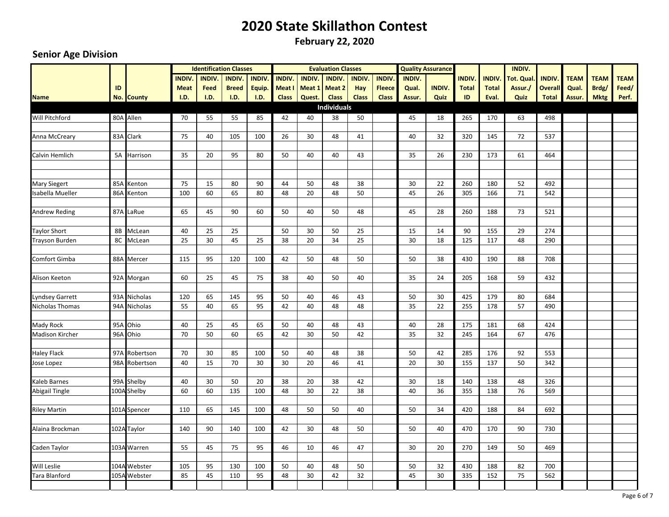**February 22, 2020**

|                                       |           |               |               | <b>Identification Classes</b> |              |              |               |               | <b>Evaluation Classes</b> |               |               |               | <b>Quality Assurance</b> |               |               | <b>INDIV.</b>    |                |             |             |             |
|---------------------------------------|-----------|---------------|---------------|-------------------------------|--------------|--------------|---------------|---------------|---------------------------|---------------|---------------|---------------|--------------------------|---------------|---------------|------------------|----------------|-------------|-------------|-------------|
|                                       |           |               | <b>INDIV.</b> | <b>INDIV</b>                  | <b>INDIV</b> | <b>INDIV</b> | <b>INDIV.</b> | <b>INDIV.</b> | <b>INDIV.</b>             | <b>INDIV.</b> | <b>INDIV.</b> | <b>INDIV.</b> |                          | <b>INDIV.</b> | <b>INDIV.</b> | <b>Tot. Qual</b> | <b>INDIV</b>   | <b>TEAM</b> | <b>TEAM</b> | <b>TEAM</b> |
|                                       | ID        |               | <b>Meat</b>   | Feed                          | <b>Breed</b> | Equip.       | Meat I        | Meat 1        | Meat 2                    | Hay           | <b>Fleece</b> | Qual.         | <b>INDIV.</b>            | <b>Total</b>  | <b>Total</b>  | Assur./          | <b>Overall</b> | Qual.       | Brdg/       | Feed/       |
| <b>Name</b>                           |           | No. County    | I.D.          | I.D.                          | I.D.         | I.D.         | <b>Class</b>  | Quest.        | <b>Class</b>              | <b>Class</b>  | <b>Class</b>  | Assur.        | Quiz                     | ID            | Eval.         | Quiz             | <b>Total</b>   | Assur.      | <b>Mktg</b> | Perf.       |
|                                       |           |               |               |                               |              |              |               |               | <b>Individuals</b>        |               |               |               |                          |               |               |                  |                |             |             |             |
| Will Pitchford                        |           | 80A Allen     | 70            | 55                            | 55           | 85           | 42            | 40            | 38                        | 50            |               | 45            | 18                       | 265           | 170           | 63               | 498            |             |             |             |
|                                       |           |               |               |                               |              |              |               |               |                           |               |               |               |                          |               |               |                  |                |             |             |             |
| Anna McCreary                         |           | 83A Clark     | 75            | 40                            | 105          | 100          | 26            | 30            | 48                        | 41            |               | 40            | 32                       | 320           | 145           | 72               | 537            |             |             |             |
|                                       |           |               |               |                               |              |              |               |               |                           |               |               |               |                          |               |               |                  |                |             |             |             |
| Calvin Hemlich                        |           | 5A Harrison   | 35            | 20                            | 95           | 80           | 50            | 40            | 40                        | 43            |               | 35            | 26                       | 230           | 173           | 61               | 464            |             |             |             |
|                                       |           |               |               |                               |              |              |               |               |                           |               |               |               |                          |               |               |                  |                |             |             |             |
|                                       |           |               |               |                               |              |              |               |               |                           |               |               |               |                          |               |               |                  |                |             |             |             |
| <b>Mary Siegert</b>                   |           | 85A Kenton    | 75            | 15                            | 80           | 90           | 44            | 50            | 48                        | 38            |               | 30            | 22                       | 260           | 180           | 52               | 492            |             |             |             |
| <b>Isabella Mueller</b>               |           | 86A Kenton    | 100           | 60                            | 65           | 80           | 48            | 20            | 48                        | 50            |               | 45            | 26                       | 305           | 166           | 71               | 542            |             |             |             |
|                                       |           | 87A LaRue     | 65            | 45                            | 90           | 60           | 50            | 40            | 50                        | 48            |               | 45            | 28                       | 260           | 188           | 73               | 521            |             |             |             |
| <b>Andrew Reding</b>                  |           |               |               |                               |              |              |               |               |                           |               |               |               |                          |               |               |                  |                |             |             |             |
| <b>Taylor Short</b>                   | <b>8B</b> | McLean        | 40            | 25                            | 25           |              | 50            | 30            | 50                        | 25            |               | 15            | 14                       | 90            | 155           | 29               | 274            |             |             |             |
| Trayson Burden                        |           | 8C McLean     | 25            | 30                            | 45           | 25           | 38            | 20            | 34                        | 25            |               | 30            | 18                       | 125           | 117           | 48               | 290            |             |             |             |
|                                       |           |               |               |                               |              |              |               |               |                           |               |               |               |                          |               |               |                  |                |             |             |             |
| Comfort Gimba                         |           | 88A Mercer    | 115           | 95                            | 120          | 100          | 42            | 50            | 48                        | 50            |               | 50            | 38                       | 430           | 190           | 88               | 708            |             |             |             |
|                                       |           |               |               |                               |              |              |               |               |                           |               |               |               |                          |               |               |                  |                |             |             |             |
| Alison Keeton                         |           | 92A Morgan    | 60            | 25                            | 45           | 75           | 38            | 40            | 50                        | 40            |               | 35            | 24                       | 205           | 168           | 59               | 432            |             |             |             |
|                                       |           |               |               |                               |              |              |               |               |                           |               |               |               |                          |               |               |                  |                |             |             |             |
| <b>Lyndsey Garrett</b>                |           | 93A Nicholas  | 120           | 65                            | 145          | 95           | 50            | 40            | 46                        | 43            |               | 50            | 30                       | 425           | 179           | 80               | 684            |             |             |             |
| Nicholas Thomas                       |           | 94A Nicholas  | 55            | 40                            | 65           | 95           | 42            | 40            | 48                        | 48            |               | 35            | 22                       | 255           | 178           | 57               | 490            |             |             |             |
|                                       |           |               |               |                               |              |              |               |               |                           |               |               |               |                          |               |               |                  |                |             |             |             |
| Mady Rock                             |           | 95A Ohio      | 40            | 25                            | 45           | 65           | 50            | 40            | 48                        | 43            |               | 40            | 28                       | 175           | 181           | 68               | 424            |             |             |             |
| <b>Madison Kircher</b>                |           | 96A Ohio      | 70            | 50                            | 60           | 65           | 42            | 30            | 50                        | 42            |               | 35            | 32                       | 245           | 164           | 67               | 476            |             |             |             |
|                                       |           |               |               |                               |              |              |               |               |                           |               |               |               |                          |               |               |                  |                |             |             |             |
| <b>Haley Flack</b>                    |           | 97A Robertson | 70            | 30                            | 85           | 100          | 50            | 40            | 48                        | 38            |               | 50            | 42                       | 285           | 176           | 92               | 553            |             |             |             |
| Jose Lopez                            |           | 98A Robertson | 40            | 15                            | 70           | 30           | 30            | 20            | 46                        | 41            |               | 20            | 30                       | 155           | 137           | 50               | 342            |             |             |             |
|                                       |           | 99A Shelby    | 40            |                               |              |              |               |               |                           | 42            |               | 30            |                          |               |               |                  |                |             |             |             |
| Kaleb Barnes<br><b>Abigail Tingle</b> |           | 100A Shelby   | 60            | 30<br>60                      | 50<br>135    | 20<br>100    | 38<br>48      | 20<br>30      | 38<br>22                  | 38            |               | 40            | 18<br>36                 | 140<br>355    | 138<br>138    | 48<br>76         | 326<br>569     |             |             |             |
|                                       |           |               |               |                               |              |              |               |               |                           |               |               |               |                          |               |               |                  |                |             |             |             |
| <b>Riley Martin</b>                   |           | 101A Spencer  | 110           | 65                            | 145          | 100          | 48            | 50            | 50                        | 40            |               | 50            | 34                       | 420           | 188           | 84               | 692            |             |             |             |
|                                       |           |               |               |                               |              |              |               |               |                           |               |               |               |                          |               |               |                  |                |             |             |             |
| Alaina Brockman                       |           | 102A Taylor   | 140           | 90                            | 140          | 100          | 42            | 30            | 48                        | 50            |               | 50            | 40                       | 470           | 170           | 90               | 730            |             |             |             |
|                                       |           |               |               |                               |              |              |               |               |                           |               |               |               |                          |               |               |                  |                |             |             |             |
| Caden Taylor                          |           | 103A Warren   | 55            | 45                            | 75           | 95           | 46            | 10            | 46                        | 47            |               | 30            | 20                       | 270           | 149           | 50               | 469            |             |             |             |
|                                       |           |               |               |                               |              |              |               |               |                           |               |               |               |                          |               |               |                  |                |             |             |             |
| <b>Will Leslie</b>                    |           | 104A Webster  | 105           | 95                            | 130          | 100          | 50            | 40            | 48                        | 50            |               | 50            | 32                       | 430           | 188           | 82               | 700            |             |             |             |
| Tara Blanford                         |           | 105A Webster  | 85            | 45                            | 110          | 95           | 48            | 30            | 42                        | 32            |               | 45            | 30                       | 335           | 152           | 75               | 562            |             |             |             |
|                                       |           |               |               |                               |              |              |               |               |                           |               |               |               |                          |               |               |                  |                |             |             |             |